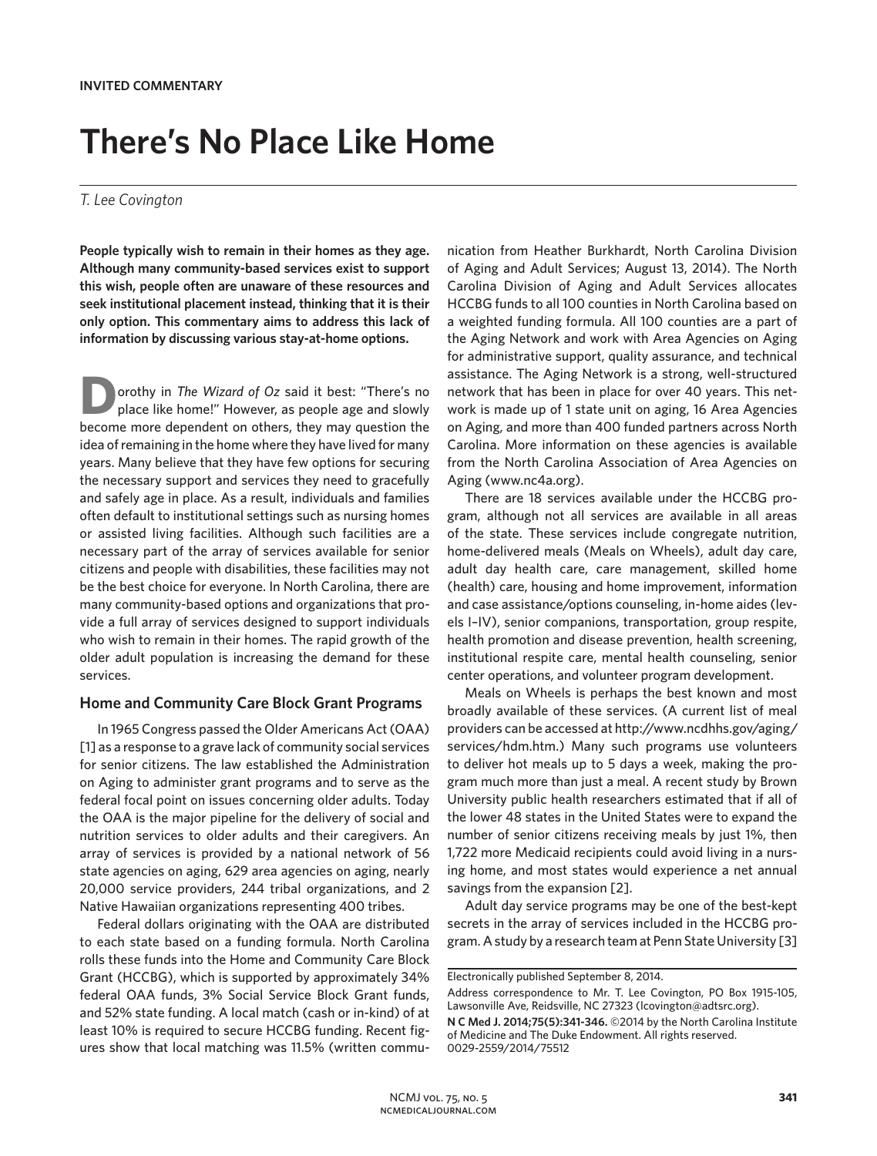# **There's No Place Like Home**

#### *T. Lee Covington*

**People typically wish to remain in their homes as they age. Although many community-based services exist to support this wish, people often are unaware of these resources and seek institutional placement instead, thinking that it is their only option. This commentary aims to address this lack of information by discussing various stay-at-home options.**

**D**orothy in *The Wizard of Oz* said it best: "There's no place like home!" However, as people age and slowly become more dependent on others, they may question the idea of remaining in the home where they have lived for many years. Many believe that they have few options for securing the necessary support and services they need to gracefully and safely age in place. As a result, individuals and families often default to institutional settings such as nursing homes or assisted living facilities. Although such facilities are a necessary part of the array of services available for senior citizens and people with disabilities, these facilities may not be the best choice for everyone. In North Carolina, there are many community-based options and organizations that provide a full array of services designed to support individuals who wish to remain in their homes. The rapid growth of the older adult population is increasing the demand for these services.

### **Home and Community Care Block Grant Programs**

In 1965 Congress passed the Older Americans Act (OAA) [1] as a response to a grave lack of community social services for senior citizens. The law established the Administration on Aging to administer grant programs and to serve as the federal focal point on issues concerning older adults. Today the OAA is the major pipeline for the delivery of social and nutrition services to older adults and their caregivers. An array of services is provided by a national network of 56 state agencies on aging, 629 area agencies on aging, nearly 20,000 service providers, 244 tribal organizations, and 2 Native Hawaiian organizations representing 400 tribes.

Federal dollars originating with the OAA are distributed to each state based on a funding formula. North Carolina rolls these funds into the Home and Community Care Block Grant (HCCBG), which is supported by approximately 34% federal OAA funds, 3% Social Service Block Grant funds, and 52% state funding. A local match (cash or in-kind) of at least 10% is required to secure HCCBG funding. Recent figures show that local matching was 11.5% (written communication from Heather Burkhardt, North Carolina Division of Aging and Adult Services; August 13, 2014). The North Carolina Division of Aging and Adult Services allocates HCCBG funds to all 100 counties in North Carolina based on a weighted funding formula. All 100 counties are a part of the Aging Network and work with Area Agencies on Aging for administrative support, quality assurance, and technical assistance. The Aging Network is a strong, well-structured network that has been in place for over 40 years. This network is made up of 1 state unit on aging, 16 Area Agencies on Aging, and more than 400 funded partners across North Carolina. More information on these agencies is available from the North Carolina Association of Area Agencies on Aging (www.nc4a.org).

There are 18 services available under the HCCBG program, although not all services are available in all areas of the state. These services include congregate nutrition, home-delivered meals (Meals on Wheels), adult day care, adult day health care, care management, skilled home (health) care, housing and home improvement, information and case assistance/options counseling, in-home aides (levels I–IV), senior companions, transportation, group respite, health promotion and disease prevention, health screening, institutional respite care, mental health counseling, senior center operations, and volunteer program development.

Meals on Wheels is perhaps the best known and most broadly available of these services. (A current list of meal providers can be accessed at http://www.ncdhhs.gov/aging/ services/hdm.htm.) Many such programs use volunteers to deliver hot meals up to 5 days a week, making the program much more than just a meal. A recent study by Brown University public health researchers estimated that if all of the lower 48 states in the United States were to expand the number of senior citizens receiving meals by just 1%, then 1,722 more Medicaid recipients could avoid living in a nursing home, and most states would experience a net annual savings from the expansion [2].

Adult day service programs may be one of the best-kept secrets in the array of services included in the HCCBG program. A study by a research team at Penn State University [3]

Electronically published September 8, 2014.

Address correspondence to Mr. T. Lee Covington, PO Box 1915-105, Lawsonville Ave, Reidsville, NC 27323 (lcovington@adtsrc.org).

**N C Med J. 2014;75(5):341-346.** ©2014 by the North Carolina Institute of Medicine and The Duke Endowment. All rights reserved. 0029-2559/2014/75512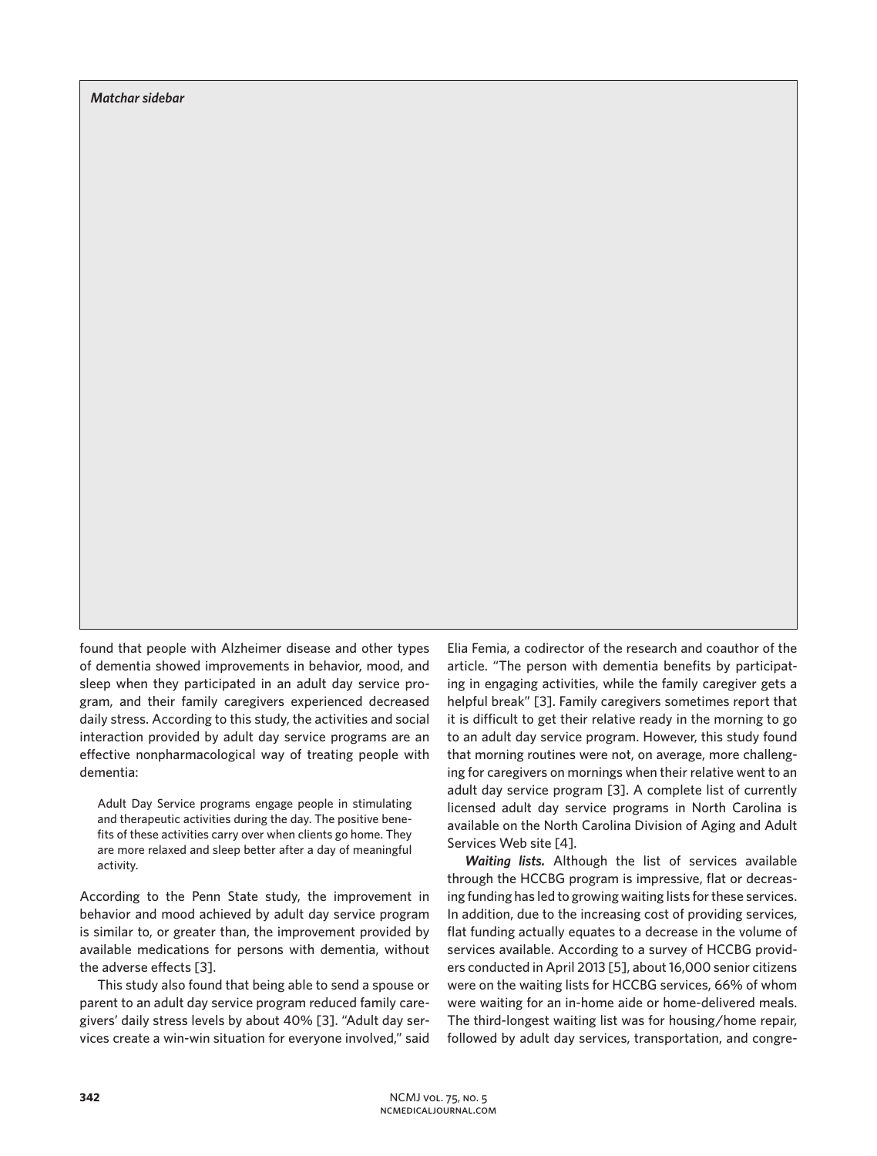*Matchar sidebar*

found that people with Alzheimer disease and other types of dementia showed improvements in behavior, mood, and sleep when they participated in an adult day service program, and their family caregivers experienced decreased daily stress. According to this study, the activities and social interaction provided by adult day service programs are an effective nonpharmacological way of treating people with dementia:

Adult Day Service programs engage people in stimulating and therapeutic activities during the day. The positive benefits of these activities carry over when clients go home. They are more relaxed and sleep better after a day of meaningful activity.

According to the Penn State study, the improvement in behavior and mood achieved by adult day service program is similar to, or greater than, the improvement provided by available medications for persons with dementia, without the adverse effects [3].

This study also found that being able to send a spouse or parent to an adult day service program reduced family caregivers' daily stress levels by about 40% [3]. "Adult day services create a win-win situation for everyone involved," said Elia Femia, a codirector of the research and coauthor of the article. "The person with dementia benefits by participating in engaging activities, while the family caregiver gets a helpful break" [3]. Family caregivers sometimes report that it is difficult to get their relative ready in the morning to go to an adult day service program. However, this study found that morning routines were not, on average, more challenging for caregivers on mornings when their relative went to an adult day service program [3]. A complete list of currently licensed adult day service programs in North Carolina is available on the North Carolina Division of Aging and Adult Services Web site [4].

*Waiting lists.* Although the list of services available through the HCCBG program is impressive, flat or decreasing funding has led to growing waiting lists for these services. In addition, due to the increasing cost of providing services, flat funding actually equates to a decrease in the volume of services available. According to a survey of HCCBG providers conducted in April 2013 [5], about 16,000 senior citizens were on the waiting lists for HCCBG services, 66% of whom were waiting for an in-home aide or home-delivered meals. The third-longest waiting list was for housing/home repair, followed by adult day services, transportation, and congre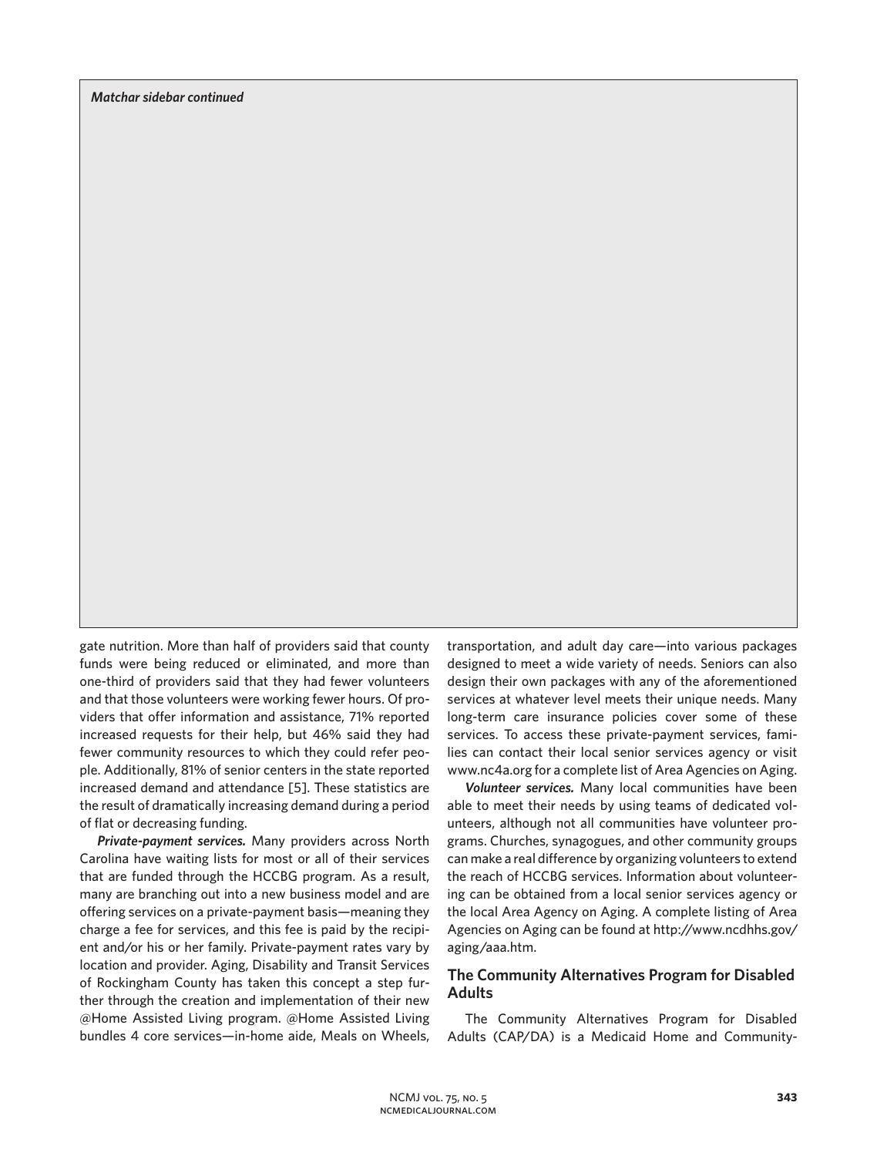*Matchar sidebar continued*

gate nutrition. More than half of providers said that county funds were being reduced or eliminated, and more than one-third of providers said that they had fewer volunteers and that those volunteers were working fewer hours. Of providers that offer information and assistance, 71% reported increased requests for their help, but 46% said they had fewer community resources to which they could refer people. Additionally, 81% of senior centers in the state reported increased demand and attendance [5]. These statistics are the result of dramatically increasing demand during a period of flat or decreasing funding.

*Private-payment services.* Many providers across North Carolina have waiting lists for most or all of their services that are funded through the HCCBG program. As a result, many are branching out into a new business model and are offering services on a private-payment basis—meaning they charge a fee for services, and this fee is paid by the recipient and/or his or her family. Private-payment rates vary by location and provider. Aging, Disability and Transit Services of Rockingham County has taken this concept a step further through the creation and implementation of their new @Home Assisted Living program. @Home Assisted Living bundles 4 core services—in-home aide, Meals on Wheels, transportation, and adult day care—into various packages designed to meet a wide variety of needs. Seniors can also design their own packages with any of the aforementioned services at whatever level meets their unique needs. Many long-term care insurance policies cover some of these services. To access these private-payment services, families can contact their local senior services agency or visit www.nc4a.org for a complete list of Area Agencies on Aging.

*Volunteer services.* Many local communities have been able to meet their needs by using teams of dedicated volunteers, although not all communities have volunteer programs. Churches, synagogues, and other community groups can make a real difference by organizing volunteers to extend the reach of HCCBG services. Information about volunteering can be obtained from a local senior services agency or the local Area Agency on Aging. A complete listing of Area Agencies on Aging can be found at http://www.ncdhhs.gov/ aging/aaa.htm.

## **The Community Alternatives Program for Disabled Adults**

The Community Alternatives Program for Disabled Adults (CAP/DA) is a Medicaid Home and Community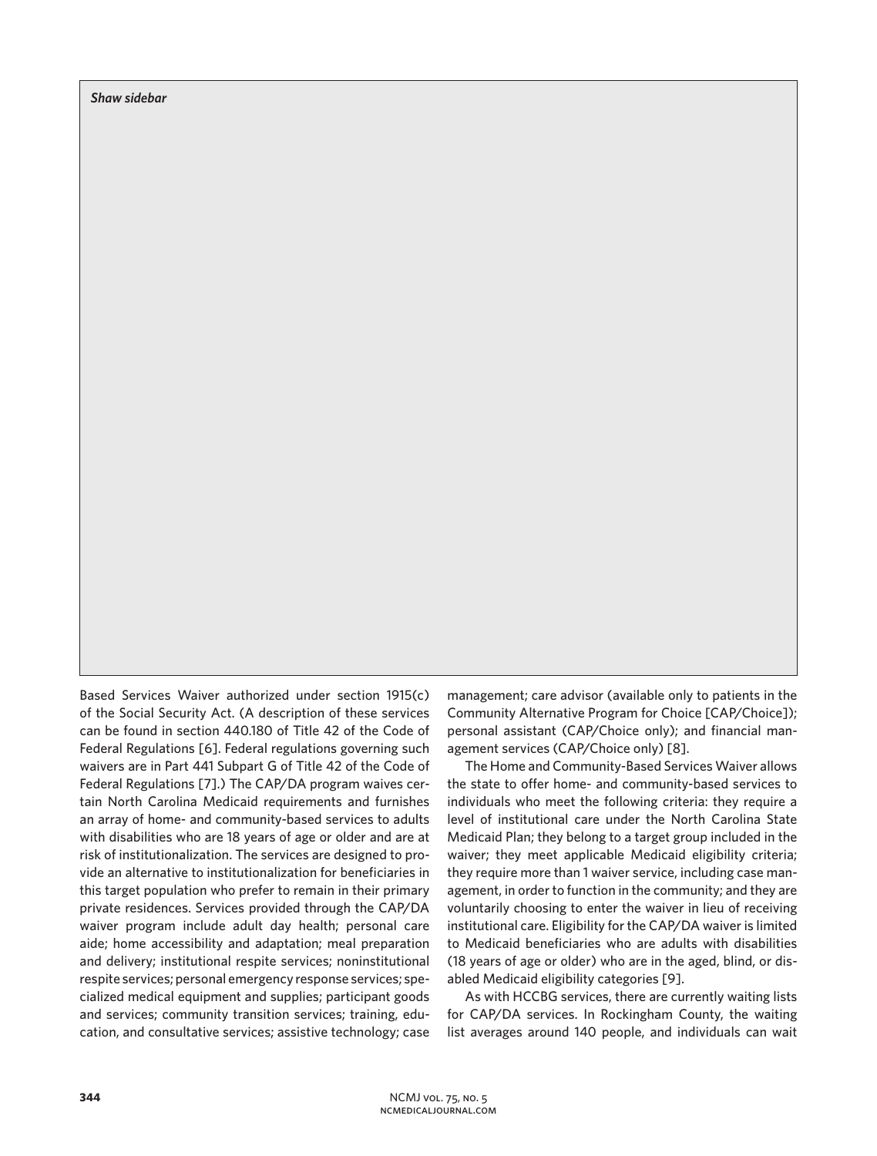*Shaw sidebar*

Based Services Waiver authorized under section 1915(c) of the Social Security Act. (A description of these services can be found in section 440.180 of Title 42 of the Code of Federal Regulations [6]. Federal regulations governing such waivers are in Part 441 Subpart G of Title 42 of the Code of Federal Regulations [7].) The CAP/DA program waives certain North Carolina Medicaid requirements and furnishes an array of home- and community-based services to adults with disabilities who are 18 years of age or older and are at risk of institutionalization. The services are designed to provide an alternative to institutionalization for beneficiaries in this target population who prefer to remain in their primary private residences. Services provided through the CAP/DA waiver program include adult day health; personal care aide; home accessibility and adaptation; meal preparation and delivery; institutional respite services; noninstitutional respite services; personal emergency response services; specialized medical equipment and supplies; participant goods and services; community transition services; training, education, and consultative services; assistive technology; case

management; care advisor (available only to patients in the Community Alternative Program for Choice [CAP/Choice]); personal assistant (CAP/Choice only); and financial management services (CAP/Choice only) [8].

The Home and Community-Based Services Waiver allows the state to offer home- and community-based services to individuals who meet the following criteria: they require a level of institutional care under the North Carolina State Medicaid Plan; they belong to a target group included in the waiver; they meet applicable Medicaid eligibility criteria; they require more than 1 waiver service, including case management, in order to function in the community; and they are voluntarily choosing to enter the waiver in lieu of receiving institutional care. Eligibility for the CAP/DA waiver is limited to Medicaid beneficiaries who are adults with disabilities (18 years of age or older) who are in the aged, blind, or disabled Medicaid eligibility categories [9].

As with HCCBG services, there are currently waiting lists for CAP/DA services. In Rockingham County, the waiting list averages around 140 people, and individuals can wait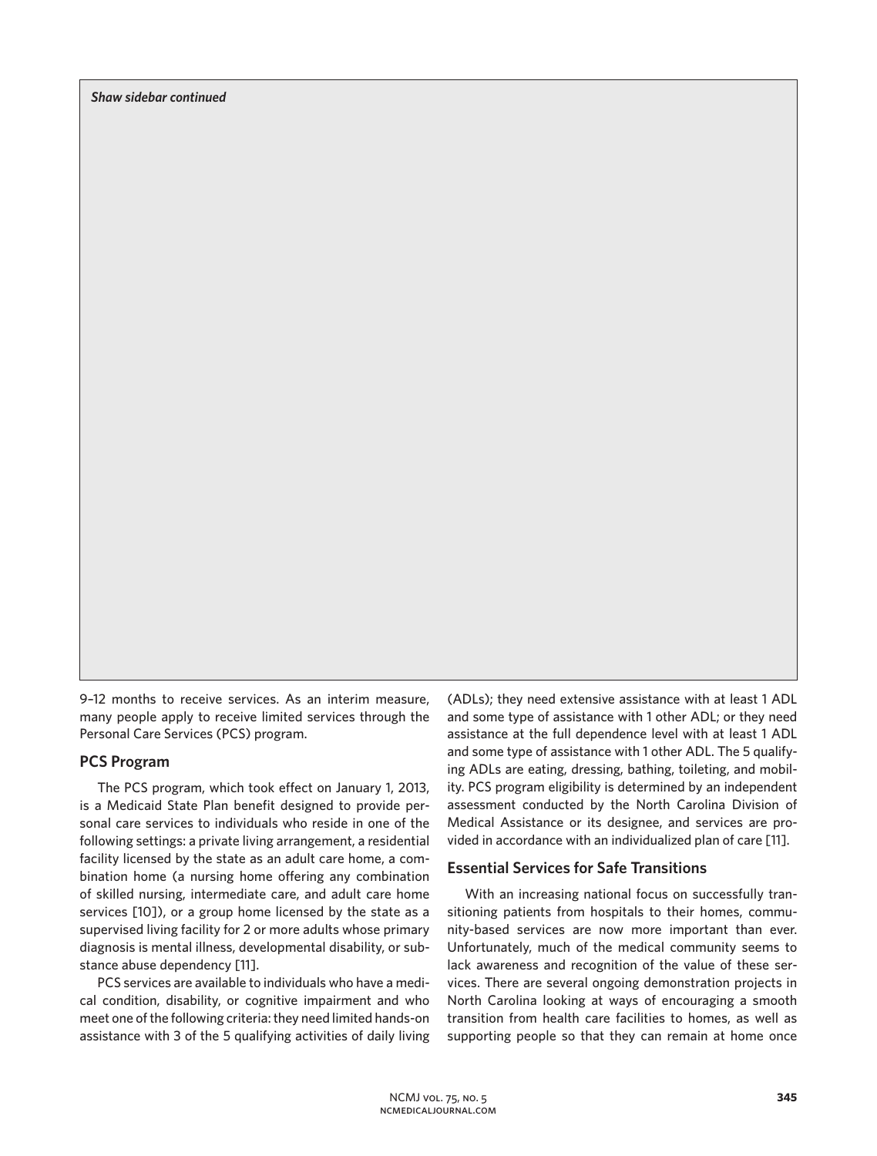*Shaw sidebar continued*

9–12 months to receive services. As an interim measure, many people apply to receive limited services through the Personal Care Services (PCS) program.

## **PCS Program**

The PCS program, which took effect on January 1, 2013, is a Medicaid State Plan benefit designed to provide personal care services to individuals who reside in one of the following settings: a private living arrangement, a residential facility licensed by the state as an adult care home, a combination home (a nursing home offering any combination of skilled nursing, intermediate care, and adult care home services [10]), or a group home licensed by the state as a supervised living facility for 2 or more adults whose primary diagnosis is mental illness, developmental disability, or substance abuse dependency [11].

PCS services are available to individuals who have a medical condition, disability, or cognitive impairment and who meet one of the following criteria: they need limited hands-on assistance with 3 of the 5 qualifying activities of daily living

(ADLs); they need extensive assistance with at least 1 ADL and some type of assistance with 1 other ADL; or they need assistance at the full dependence level with at least 1 ADL and some type of assistance with 1 other ADL. The 5 qualifying ADLs are eating, dressing, bathing, toileting, and mobility. PCS program eligibility is determined by an independent assessment conducted by the North Carolina Division of Medical Assistance or its designee, and services are provided in accordance with an individualized plan of care [11].

#### **Essential Services for Safe Transitions**

With an increasing national focus on successfully transitioning patients from hospitals to their homes, community-based services are now more important than ever. Unfortunately, much of the medical community seems to lack awareness and recognition of the value of these services. There are several ongoing demonstration projects in North Carolina looking at ways of encouraging a smooth transition from health care facilities to homes, as well as supporting people so that they can remain at home once